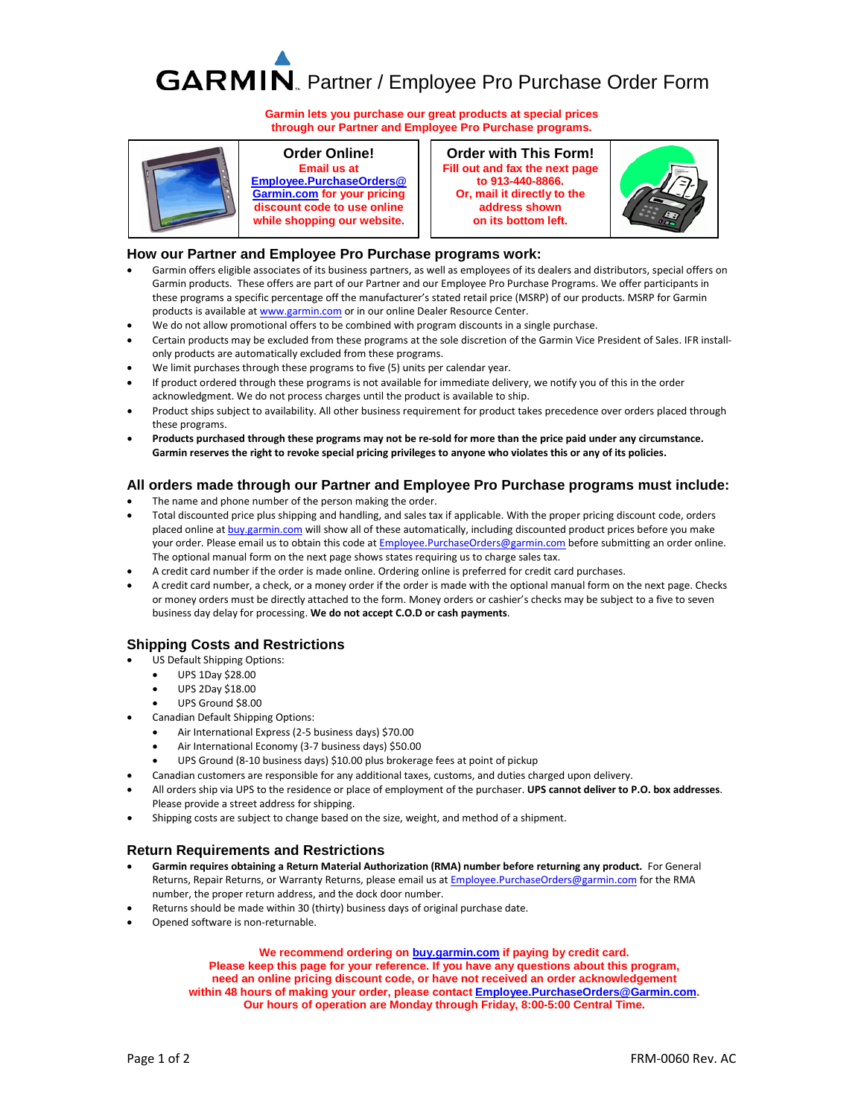# GARMIN. Partner / Employee Pro Purchase Order Form

**Garmin lets you purchase our great products at special prices through our Partner and Employee Pro Purchase programs.**



### **Order Online!**

**Email us at [Employee.PurchaseOrders@](mailto:Employee.PurchaseOrders@Garmin.com?subject=My%20pricing%20discount%20code) [Garmin.com](mailto:Employee.PurchaseOrders@Garmin.com?subject=My%20pricing%20discount%20code) for your pricing discount code to use online while shopping our website.**

**Order with This Form! Fill out and fax the next page to 913-440-8866. Or, mail it directly to the address shown on its bottom left.** 



#### **How our Partner and Employee Pro Purchase programs work:**

- Garmin offers eligible associates of its business partners, as well as employees of its dealers and distributors, special offers on Garmin products. These offers are part of our Partner and our Employee Pro Purchase Programs. We offer participants in these programs a specific percentage off the manufacturer's stated retail price (MSRP) of our products. MSRP for Garmin products is available at [www.garmin.com](http://www.garmin.com/en-US) or in our online Dealer Resource Center.
- We do not allow promotional offers to be combined with program discounts in a single purchase.
- Certain products may be excluded from these programs at the sole discretion of the Garmin Vice President of Sales. IFR installonly products are automatically excluded from these programs.
- We limit purchases through these programs to five (5) units per calendar year.
- If product ordered through these programs is not available for immediate delivery, we notify you of this in the order acknowledgment. We do not process charges until the product is available to ship.
- Product ships subject to availability. All other business requirement for product takes precedence over orders placed through these programs.
- **Products purchased through these programs may not be re-sold for more than the price paid under any circumstance. Garmin reserves the right to revoke special pricing privileges to anyone who violates this or any of its policies.**

#### **All orders made through our Partner and Employee Pro Purchase programs must include:**

- The name and phone number of the person making the order.
- Total discounted price plus shipping and handling, and sales tax if applicable. With the proper pricing discount code, orders placed online at [buy.garmin.com](https://buy.garmin.com/) will show all of these automatically, including discounted product prices before you make your order. Please email us to obtain this code at **Employee.PurchaseOrders@garmin.com** before submitting an order online. The optional manual form on the next page shows states requiring us to charge sales tax.
- A credit card number if the order is made online. Ordering online is preferred for credit card purchases.
- A credit card number, a check, or a money order if the order is made with the optional manual form on the next page. Checks or money orders must be directly attached to the form. Money orders or cashier's checks may be subject to a five to seven business day delay for processing. **We do not accept C.O.D or cash payments**.

### **Shipping Costs and Restrictions**

- US Default Shipping Options:
	- UPS 1Day \$28.00
	- UPS 2Day \$18.00
	- UPS Ground \$8.00
- Canadian Default Shipping Options:
	- Air International Express (2-5 business days) \$70.00
	- Air International Economy (3-7 business days) \$50.00
	- UPS Ground (8-10 business days) \$10.00 plus brokerage fees at point of pickup
- Canadian customers are responsible for any additional taxes, customs, and duties charged upon delivery.
- All orders ship via UPS to the residence or place of employment of the purchaser. **UPS cannot deliver to P.O. box addresses**. Please provide a street address for shipping.
- Shipping costs are subject to change based on the size, weight, and method of a shipment.

#### **Return Requirements and Restrictions**

- **Garmin requires obtaining a Return Material Authorization (RMA) number before returning any product.** For General Returns, Repair Returns, or Warranty Returns, please email us a[t Employee.PurchaseOrders@garmin.com](mailto:Employee.PurchaseOrders@garmin.com) for the RMA number, the proper return address, and the dock door number.
- Returns should be made within 30 (thirty) business days of original purchase date.
- Opened software is non-returnable.

**We recommend ordering o[n buy.garmin.com](https://buy.garmin.com/) if paying by credit card. Please keep this page for your reference. If you have any questions about this program, need an online pricing discount code, or have not received an order acknowledgement within 48 hours of making your order, please contact [Employee.PurchaseOrders@Garmin.com.](mailto:Employee.PurchaseOrders@Garmin.com) Our hours of operation are Monday through Friday, 8:00-5:00 Central Time.**